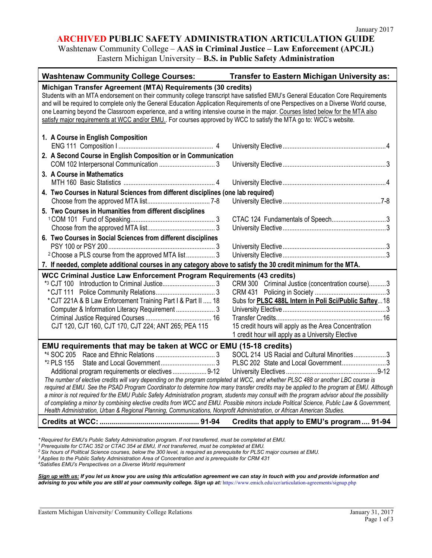#### **ARCHIVED PUBLIC SAFETY ADMINISTRATION ARTICULATION GUIDE**

Washtenaw Community College – **AAS in Criminal Justice – Law Enforcement (APCJL)** Eastern Michigan University – **B.S. in Public Safety Administration** 

| <b>Washtenaw Community College Courses:</b>                                                                                                                                                                                                                                                                                                                                                                                                                                                                                                                                                                                                                                                                                                                                                                                                                                                                                           | Transfer to Eastern Michigan University as:                                                                                                                                                                             |  |
|---------------------------------------------------------------------------------------------------------------------------------------------------------------------------------------------------------------------------------------------------------------------------------------------------------------------------------------------------------------------------------------------------------------------------------------------------------------------------------------------------------------------------------------------------------------------------------------------------------------------------------------------------------------------------------------------------------------------------------------------------------------------------------------------------------------------------------------------------------------------------------------------------------------------------------------|-------------------------------------------------------------------------------------------------------------------------------------------------------------------------------------------------------------------------|--|
| Michigan Transfer Agreement (MTA) Requirements (30 credits)<br>Students with an MTA endorsement on their community college transcript have satisfied EMU's General Education Core Requirements<br>and will be required to complete only the General Education Application Requirements of one Perspectives on a Diverse World course,<br>one Learning beyond the Classroom experience, and a writing intensive course in the major. Courses listed below for the MTA also<br>satisfy major requirements at WCC and/or EMU. For courses approved by WCC to satisfy the MTA go to: WCC's website.                                                                                                                                                                                                                                                                                                                                       |                                                                                                                                                                                                                         |  |
| 1. A Course in English Composition                                                                                                                                                                                                                                                                                                                                                                                                                                                                                                                                                                                                                                                                                                                                                                                                                                                                                                    |                                                                                                                                                                                                                         |  |
| 2. A Second Course in English Composition or in Communication                                                                                                                                                                                                                                                                                                                                                                                                                                                                                                                                                                                                                                                                                                                                                                                                                                                                         |                                                                                                                                                                                                                         |  |
| 3. A Course in Mathematics                                                                                                                                                                                                                                                                                                                                                                                                                                                                                                                                                                                                                                                                                                                                                                                                                                                                                                            |                                                                                                                                                                                                                         |  |
| 4. Two Courses in Natural Sciences from different disciplines (one lab required)                                                                                                                                                                                                                                                                                                                                                                                                                                                                                                                                                                                                                                                                                                                                                                                                                                                      |                                                                                                                                                                                                                         |  |
| 5. Two Courses in Humanities from different disciplines                                                                                                                                                                                                                                                                                                                                                                                                                                                                                                                                                                                                                                                                                                                                                                                                                                                                               |                                                                                                                                                                                                                         |  |
| 6. Two Courses in Social Sciences from different disciplines<br><sup>2</sup> Choose a PLS course from the approved MTA list 3                                                                                                                                                                                                                                                                                                                                                                                                                                                                                                                                                                                                                                                                                                                                                                                                         |                                                                                                                                                                                                                         |  |
| 7. If needed, complete additional courses in any category above to satisfy the 30 credit minimum for the MTA.                                                                                                                                                                                                                                                                                                                                                                                                                                                                                                                                                                                                                                                                                                                                                                                                                         |                                                                                                                                                                                                                         |  |
| WCC Criminal Justice Law Enforcement Program Requirements (43 credits)<br>*CJT 221A & B Law Enforcement Training Part I & Part II  18<br>Computer & Information Literacy Requirement  3<br>CJT 120, CJT 160, CJT 170, CJT 224; ANT 265; PEA 115                                                                                                                                                                                                                                                                                                                                                                                                                                                                                                                                                                                                                                                                                       | CRM 300 Criminal Justice (concentration course)3<br>Subs for PLSC 488L Intern in Poli Sci/Public Saftey 18<br>15 credit hours will apply as the Area Concentration<br>1 credit hour will apply as a University Elective |  |
| EMU requirements that may be taken at WCC or EMU (15-18 credits)<br>SOCL 214 US Racial and Cultural Minorities3<br>PLSC 202 State and Local Government3<br>*2 PLS 155<br>Additional program requirements or electives  9-12<br>The number of elective credits will vary depending on the program completed at WCC, and whether PLSC 488 or another LBC course is<br>required at EMU. See the PSAD Program Coordinator to determine how many transfer credits may be applied to the program at EMU. Although<br>a minor is not required for the EMU Public Safety Administration program, students may consult with the program advisor about the possibility<br>of completing a minor by combining elective credits from WCC and EMU. Possible minors include Political Science, Public Law & Government,<br>Health Administration, Urban & Regional Planning, Communications, Nonprofit Administration, or African American Studies. |                                                                                                                                                                                                                         |  |
|                                                                                                                                                                                                                                                                                                                                                                                                                                                                                                                                                                                                                                                                                                                                                                                                                                                                                                                                       | Credits that apply to EMU's program 91-94                                                                                                                                                                               |  |

*4Satisfies EMU's Perspectives on a Diverse World requirement*

*Sign up with us: If you let us know you are using this articulation agreement we can stay in touch with you and provide information and*  advising to you while you are still at your community college. Sign up at: https://www.emich.edu/ccr/articulation-agreements/signup.php

*<sup>\*</sup> Required for EMU's Public Safety Administration program. If not transferred, must be completed at EMU.*

<sup>&</sup>lt;sup>2</sup> Six hours of Political Science courses, below the 300 level, is required as prerequisite for PLSC major courses at EMU.

*<sup>3</sup> Applies to the Public Safety Administration Area of Concentration and is prerequisite for CRM 431*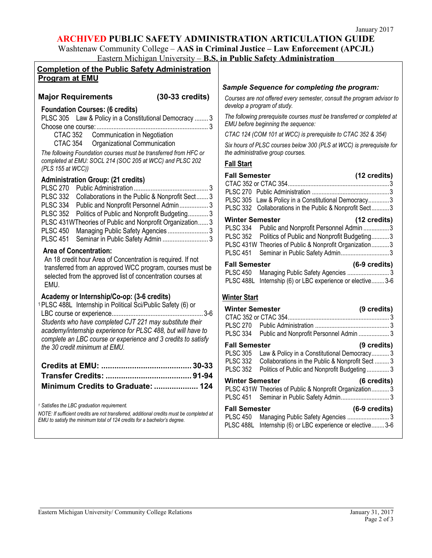# **ARCHIVED PUBLIC SAFETY ADMINISTRATION ARTICULATION GUIDE**

Washtenaw Community College – **AAS in Criminal Justice – Law Enforcement (APCJL)** Eastern Michigan University – **B.S. in Public Safety Administration** 

| <b>Completion of the Public Safety Administration</b>                                                                                                                                                                                                                                                                                                                                                                                                                                                                                                                                                                             |                                                                                                                                                                                                                                                                                                                                                                                                                                                                                                                                                                            |
|-----------------------------------------------------------------------------------------------------------------------------------------------------------------------------------------------------------------------------------------------------------------------------------------------------------------------------------------------------------------------------------------------------------------------------------------------------------------------------------------------------------------------------------------------------------------------------------------------------------------------------------|----------------------------------------------------------------------------------------------------------------------------------------------------------------------------------------------------------------------------------------------------------------------------------------------------------------------------------------------------------------------------------------------------------------------------------------------------------------------------------------------------------------------------------------------------------------------------|
| <b>Program at EMU</b>                                                                                                                                                                                                                                                                                                                                                                                                                                                                                                                                                                                                             |                                                                                                                                                                                                                                                                                                                                                                                                                                                                                                                                                                            |
| $(30-33 \text{ credits})$<br><b>Major Requirements</b>                                                                                                                                                                                                                                                                                                                                                                                                                                                                                                                                                                            | Sample Sequence for completing the program:                                                                                                                                                                                                                                                                                                                                                                                                                                                                                                                                |
|                                                                                                                                                                                                                                                                                                                                                                                                                                                                                                                                                                                                                                   | Courses are not offered every semester, consult the program advisor to<br>develop a program of study.                                                                                                                                                                                                                                                                                                                                                                                                                                                                      |
| <b>Foundation Courses: (6 credits)</b><br>PLSC 305 Law & Policy in a Constitutional Democracy  3<br><b>CTAC 352</b><br>Communication in Negotiation                                                                                                                                                                                                                                                                                                                                                                                                                                                                               | The following prerequisite courses must be transferred or completed at<br>EMU before beginning the sequence:<br>CTAC 124 (COM 101 at WCC) is prerequisite to CTAC 352 & 354)                                                                                                                                                                                                                                                                                                                                                                                               |
| CTAC 354<br>Organizational Communication<br>The following Foundation courses must be transferred from HFC or<br>completed at EMU: SOCL 214 (SOC 205 at WCC) and PLSC 202                                                                                                                                                                                                                                                                                                                                                                                                                                                          | Six hours of PLSC courses below 300 (PLS at WCC) is prerequisite for<br>the administrative group courses.<br><b>Fall Start</b>                                                                                                                                                                                                                                                                                                                                                                                                                                             |
| (PLS 155 at WCC))                                                                                                                                                                                                                                                                                                                                                                                                                                                                                                                                                                                                                 |                                                                                                                                                                                                                                                                                                                                                                                                                                                                                                                                                                            |
| <b>Administration Group: (21 credits)</b><br>PLSC 332 Collaborations in the Public & Nonprofit Sect 3<br>PLSC 334 Public and Nonprofit Personnel Admin 3<br>PLSC 352 Politics of Public and Nonprofit Budgeting 3<br>PLSC 431WTheories of Public and Nonprofit Organization 3<br><b>PLSC 450</b><br>Managing Public Safety Agencies 3<br><b>PLSC 451</b><br>Seminar in Public Safety Admin  3<br><b>Area of Concentration:</b><br>An 18 credit hour Area of Concentration is required. If not<br>transferred from an approved WCC program, courses must be<br>selected from the approved list of concentration courses at<br>EMU. | <b>Fall Semester</b><br>(12 credits)<br>PLSC 305 Law & Policy in a Constitutional Democracy3<br>PLSC 332 Collaborations in the Public & Nonprofit Sect3<br><b>Winter Semester</b><br>(12 credits)<br>PLSC 334 Public and Nonprofit Personnel Admin 3<br>Politics of Public and Nonprofit Budgeting3<br><b>PLSC 352</b><br>PLSC 431W Theories of Public & Nonprofit Organization3<br><b>PLSC 451</b><br>Seminar in Public Safety Admin3<br><b>Fall Semester</b><br>$(6-9 \text{ credits})$<br><b>PLSC 450</b><br>PLSC 488L Internship (6) or LBC experience or elective 3-6 |
| Academy or Internship/Co-op: (3-6 credits)<br><sup>1</sup> PLSC 488L Internship in Political Sci/Public Safety (6) or<br>Students who have completed CJT 221 may substitute their<br>academy/internship experience for PLSC 488, but will have to<br>complete an LBC course or experience and 3 credits to satisfy<br>the 30 credit minimum at EMU.                                                                                                                                                                                                                                                                               | <b>Winter Start</b><br><b>Winter Semester</b><br>(9 credits)<br><b>PLSC 270</b><br><b>PLSC 334</b><br>Public and Nonprofit Personnel Admin  3<br><b>Fall Semester</b><br>(9 credits)                                                                                                                                                                                                                                                                                                                                                                                       |
|                                                                                                                                                                                                                                                                                                                                                                                                                                                                                                                                                                                                                                   | <b>PLSC 305</b><br>Law & Policy in a Constitutional Democracy 3<br><b>PLSC 332</b><br>Collaborations in the Public & Nonprofit Sect  3<br><b>PLSC 352</b><br>Politics of Public and Nonprofit Budgeting 3                                                                                                                                                                                                                                                                                                                                                                  |
| Minimum Credits to Graduate:  124                                                                                                                                                                                                                                                                                                                                                                                                                                                                                                                                                                                                 | <b>Winter Semester</b><br>(6 credits)<br>PLSC 431W Theories of Public & Nonprofit Organization 3<br><b>PLSC 451</b>                                                                                                                                                                                                                                                                                                                                                                                                                                                        |
| <sup>1</sup> Satisfies the LBC graduation requirement.<br>NOTE: If sufficient credits are not transferred, additional credits must be completed at<br>EMU to satisfy the minimum total of 124 credits for a bachelor's degree.                                                                                                                                                                                                                                                                                                                                                                                                    | <b>Fall Semester</b><br>(6-9 credits)<br><b>PLSC 450</b><br>PLSC 488L Internship (6) or LBC experience or elective 3-6                                                                                                                                                                                                                                                                                                                                                                                                                                                     |